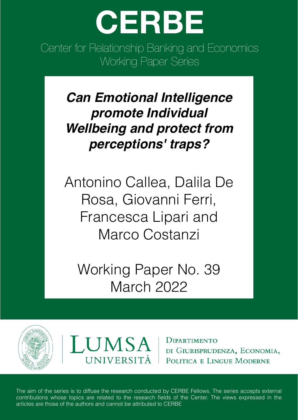

Center for Relationship Banking and Economics Working Paper Series

> *Can Emotional Intelligence promote Individual Wellbeing and protect from perceptions' traps?*

Antonino Callea, Dalila De Rosa, Giovanni Ferri, Francesca Lipari and Marco Costanzi

Working Paper No. 39 March 2022





**DIPARTIMENTO** DI GIURISPRUDENZA, ECONOMIA, POLITICA E LINGUE MODERNE

The aim of the series is to diffuse the research conducted by CERBE Fellows. The series accepts external contributions whose topics are related to the research fields of the Center. The views expressed in the articles are those of the authors and cannot be attributed to CERBE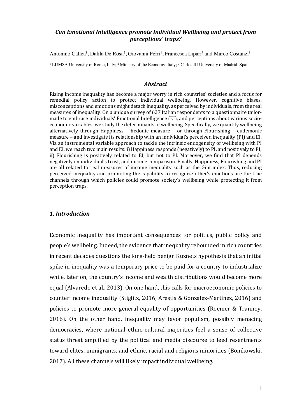## *Can Emotional Intelligence promote Individual Wellbeing and protect from perceptions' traps?*

Antonino Callea<sup>1</sup>, Dalila De Rosa<sup>2</sup>, Giovanni Ferri<sup>1</sup>, Francesca Lipari<sup>3</sup> and Marco Costanzi<sup>1</sup>

<sup>1</sup> LUMSA University of Rome, Italy; <sup>2</sup> Ministry of the Economy, Italy; <sup>3</sup> Carlos III University of Madrid, Spain

#### *Abstract*

Rising income inequality has become a major worry in rich countries' societies and a focus for remedial policy action to protect individual wellbeing. However, cognitive biases, misconceptions and emotions might detach inequality, as perceived by individuals, from the real measures of inequality. On a unique survey of 627 Italian respondents to a questionnaire tailormade to embrace individuals' Emotional Intelligence (EI), and perceptions about various socioeconomic variables, we study the determinants of wellbeing. Specifically, we quantify wellbeing alternatively through Happiness – hedonic measure – or through Flourishing – eudemonic measure – and investigate its relationship with an individual's perceived inequality (PI) and EI. Via an instrumental variable approach to tackle the intrinsic endogeneity of wellbeing with PI and EI, we reach two main results: i) Happiness responds (negatively) to PI, and positively to EI; ii) Flourishing is positively related to EI, but not to PI. Moreover, we find that PI depends negatively on individual's trust, and income comparison. Finally, Happiness, Flourishing and PI are all related to real measures of income inequality such as the Gini index. Thus, reducing perceived inequality and promoting the capability to recognize other's emotions are the true channels through which policies could promote society's wellbeing while protecting it from perception traps.

#### *1. Introduction*

Economic inequality has important consequences for politics, public policy and people's wellbeing. Indeed, the evidence that inequality rebounded in rich countries in recent decades questions the long-held benign Kuznets hypothesis that an initial spike in inequality was a temporary price to be paid for a country to industrialize while, later on, the country's income and wealth distributions would become more equal (Alvaredo et al., 2013). On one hand, this calls for macroeconomic policies to counter income inequality (Stiglitz, 2016; Arestis & Gonzalez-Martinez, 2016) and policies to promote more general equality of opportunities (Roemer & Trannoy,  $2016$ ). On the other hand, inequality may favor populism, possibly menacing democracies, where national ethno-cultural majorities feel a sense of collective status threat amplified by the political and media discourse to feed resentments toward elites, immigrants, and ethnic, racial and religious minorities (Bonikowski, 2017). All these channels will likely impact individual wellbeing.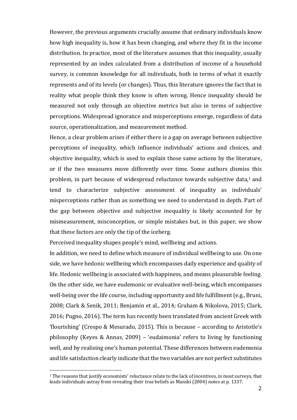However, the previous arguments crucially assume that ordinary individuals know how high inequality is, how it has been changing, and where they fit in the income distribution. In practice, most of the literature assumes that this inequality, usually represented by an index calculated from a distribution of income of a household survey, is common knowledge for all individuals, both in terms of what it exactly represents and of its levels (or changes). Thus, this literature ignores the fact that in reality what people think they know is often wrong. Hence inequality should be measured not only through an objective metrics but also in terms of subjective perceptions. Widespread ignorance and misperceptions emerge, regardless of data source, operationalization, and measurement method.

Hence, a clear problem arises if either there is a gap on average between subjective perceptions of inequality, which influence individuals' actions and choices, and objective inequality, which is used to explain those same actions by the literature, or if the two measures move differently over time. Some authors dismiss this problem, in part because of widespread reluctance towards subjective data,<sup>1</sup> and tend to characterize subjective assessment of inequality as individuals' misperceptions rather than as something we need to understand in depth. Part of the gap between objective and subjective inequality is likely accounted for by mismeasurement, misconception, or simple mistakes but, in this paper, we show that these factors are only the tip of the iceberg.

Perceived inequality shapes people's mind, wellbeing and actions.

In addition, we need to define which measure of individual wellbeing to use. On one side, we have hedonic wellbeing which encompasses daily experience and quality of life. Hedonic wellbeing is associated with happiness, and means pleasurable feeling. On the other side, we have eudemonic or evaluative well-being, which encompasses well-being over the life course, including opportunity and life fulfillment (e.g., Bruni, 2008; Clark & Senik, 2011; Benjamin et al., 2014; Graham & Nikolova, 2015; Clark, 2016; Pugno, 2016). The term has recently been translated from ancient Greek with 'flourishing' (Crespo & Mesurado, 2015). This is because  $-$  according to Aristotle's philosophy (Keyes & Annas, 2009) - 'eudaimonia' refers to living by functioning well, and by realising one's human potential. These differences between eudemonia and life satisfaction clearly indicate that the two variables are not perfect substitutes

<sup>&</sup>lt;sup>1</sup> The reasons that justify economists' reluctance relate to the lack of incentives, in most surveys, that leads individuals astray from revealing their true beliefs as Manski (2004) notes at p. 1337.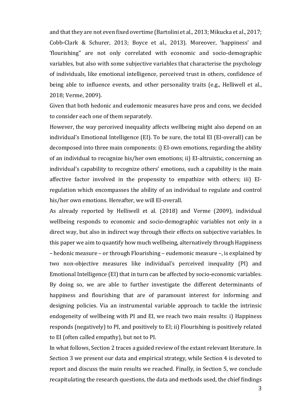and that they are not even fixed overtime (Bartolini et al., 2013; Mikucka et al., 2017; Cobb-Clark & Schurer, 2013; Boyce et al., 2013). Moreover, 'happiness' and 'flourishing" are not only correlated with economic and socio-demographic variables, but also with some subjective variables that characterise the psychology of individuals, like emotional intelligence, perceived trust in others, confidence of being able to influence events, and other personality traits (e.g., Helliwell et al., 2018; Verme, 2009).

Given that both hedonic and eudemonic measures have pros and cons, we decided to consider each one of them separately.

However, the way perceived inequality affects wellbeing might also depend on an individual's Emotional Intelligence (EI). To be sure, the total EI (EI-overall) can be decomposed into three main components: i) EI-own emotions, regarding the ability of an individual to recognize his/her own emotions; ii) EI-altruistic, concerning an individual's capability to recognize others' emotions, such a capability is the main affective factor involved in the propensity to empathize with others; iii) EIregulation which encompasses the ability of an individual to regulate and control his/her own emotions. Hereafter, we will EI-overall.

As already reported by Helliwell et al. (2018) and Verme (2009), individual wellbeing responds to economic and socio-demographic variables not only in a direct way, but also in indirect way through their effects on subjective variables. In this paper we aim to quantify how much wellbeing, alternatively through Happiness  $-$  hedonic measure  $-$  or through Flourishing  $-$  eudemonic measure  $-$ , is explained by two non-objective measures like individual's perceived inequality (PI) and Emotional Intelligence (EI) that in turn can be affected by socio-economic variables. By doing so, we are able to further investigate the different determinants of happiness and flourishing that are of paramount interest for informing and designing policies. Via an instrumental variable approach to tackle the intrinsic endogeneity of wellbeing with PI and EI, we reach two main results: i) Happiness responds (negatively) to PI, and positively to EI; ii) Flourishing is positively related to EI (often called empathy), but not to PI.

In what follows, Section 2 traces a guided review of the extant relevant literature. In Section 3 we present our data and empirical strategy, while Section 4 is devoted to report and discuss the main results we reached. Finally, in Section 5, we conclude recapitulating the research questions, the data and methods used, the chief findings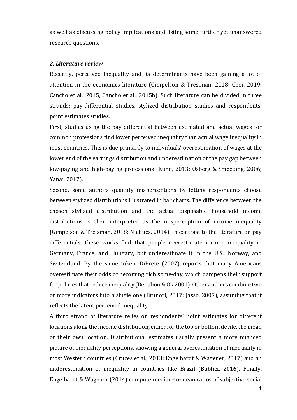as well as discussing policy implications and listing some further yet unanswered research questions.

## *2. Literature review*

Recently, perceived inequality and its determinants have been gaining a lot of attention in the economics literature (Gimpelson & Tresiman, 2018; Choi, 2019; Cancho et al. ,2015, Cancho et al., 2015b). Such literature can be divided in three strands: pay-differential studies, stylized distribution studies and respondents' point estimates studies.

First, studies using the pay differential between estimated and actual wages for common professions find lower perceived inequality than actual wage inequality in most countries. This is due primarily to individuals' overestimation of wages at the lower end of the earnings distribution and underestimation of the pay gap between low-paying and high-paying professions (Kuhn, 2013; Osberg & Smeeding, 2006; Yanai, 2017).

Second, some authors quantify misperceptions by letting respondents choose between stylized distributions illustrated in bar charts. The difference between the chosen stylized distribution and the actual disposable household income distributions is then interpreted as the misperception of income inequality (Gimpelson & Treisman, 2018; Niehues, 2014). In contrast to the literature on pay differentials, these works find that people overestimate income inequality in Germany, France, and Hungary, but underestimate it in the U.S., Norway, and Switzerland. By the same token, DiPrete (2007) reports that many Americans overestimate their odds of becoming rich some-day, which dampens their support for policies that reduce inequality (Benabou & Ok 2001). Other authors combine two or more indicators into a single one (Brunori, 2017; Jasso, 2007), assuming that it reflects the latent perceived inequality.

A third strand of literature relies on respondents' point estimates for different locations along the income distribution, either for the top or bottom decile, the mean or their own location. Distributional estimates usually present a more nuanced picture of inequality perceptions, showing a general overestimation of inequality in most Western countries (Cruces et al., 2013; Engelhardt & Wagener, 2017) and an underestimation of inequality in countries like Brazil (Bublitz, 2016). Finally, Engelhardt & Wagener  $(2014)$  compute median-to-mean ratios of subjective social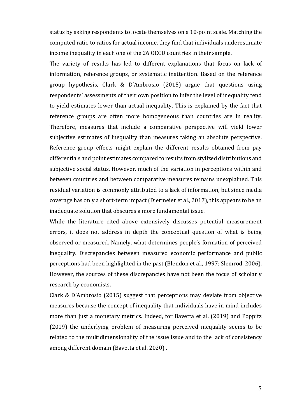status by asking respondents to locate themselves on a 10-point scale. Matching the computed ratio to ratios for actual income, they find that individuals underestimate income inequality in each one of the 26 OECD countries in their sample.

The variety of results has led to different explanations that focus on lack of information, reference groups, or systematic inattention. Based on the reference group hypothesis, Clark & D'Ambrosio  $(2015)$  argue that questions using respondents' assessments of their own position to infer the level of inequality tend to yield estimates lower than actual inequality. This is explained by the fact that reference groups are often more homogeneous than countries are in reality. Therefore, measures that include a comparative perspective will yield lower subjective estimates of inequality than measures taking an absolute perspective. Reference group effects might explain the different results obtained from pay differentials and point estimates compared to results from stylized distributions and subjective social status. However, much of the variation in perceptions within and between countries and between comparative measures remains unexplained. This residual variation is commonly attributed to a lack of information, but since media coverage has only a short-term impact (Diermeier et al., 2017), this appears to be an inadequate solution that obscures a more fundamental issue.

While the literature cited above extensively discusses potential measurement errors, it does not address in depth the conceptual question of what is being observed or measured. Namely, what determines people's formation of perceived inequality. Discrepancies between measured economic performance and public perceptions had been highlighted in the past (Blendon et al., 1997; Slemrod, 2006). However, the sources of these discrepancies have not been the focus of scholarly research by economists.

Clark & D'Ambrosio  $(2015)$  suggest that perceptions may deviate from objective measures because the concept of inequality that individuals have in mind includes more than just a monetary metrics. Indeed, for Bavetta et al. (2019) and Poppitz (2019) the underlying problem of measuring perceived inequality seems to be related to the multidimensionality of the issue issue and to the lack of consistency among different domain (Bavetta et al. 2020).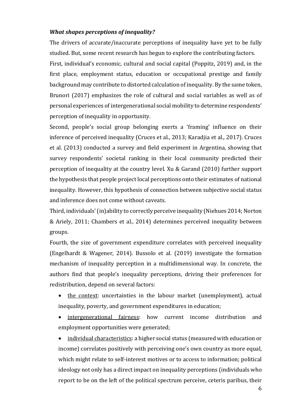## *What shapes perceptions of inequality?*

The drivers of accurate/inaccurate perceptions of inequality have yet to be fully studied. But, some recent research has begun to explore the contributing factors.

First, individual's economic, cultural and social capital (Poppitz, 2019) and, in the first place, employment status, education or occupational prestige and family background may contribute to distorted calculation of inequality. By the same token, Brunori (2017) emphasizes the role of cultural and social variables as well as of personal experiences of intergenerational social mobility to determine respondents' perception of inequality in opportunity.

Second, people's social group belonging exerts a 'framing' influence on their inference of perceived inequality (Cruces et al., 2013; Karadjia et al., 2017). Cruces et al. (2013) conducted a survey and field experiment in Argentina, showing that survey respondents' societal ranking in their local community predicted their perception of inequality at the country level. Xu & Garand  $(2010)$  further support the hypothesis that people project local perceptions onto their estimates of national inequality. However, this hypothesis of connection between subjective social status and inference does not come without caveats.

Third, individuals' (in)ability to correctly perceive inequality (Niehues 2014; Norton & Ariely, 2011; Chambers et al., 2014) determines perceived inequality between groups.

Fourth, the size of government expenditure correlates with perceived inequality (Engelhardt & Wagener, 2014). Bussolo et al.  $(2019)$  investigate the formation mechanism of inequality perception in a multidimensional way. In concrete, the authors find that people's inequality perceptions, driving their preferences for redistribution, depend on several factors:

- the context: uncertainties in the labour market (unemployment), actual inequality, poverty, and government expenditures in education;
- intergenerational fairness: how current income distribution and employment opportunities were generated;

individual characteristics: a higher social status (measured with education or income) correlates positively with perceiving one's own country as more equal, which might relate to self-interest motives or to access to information; political ideology not only has a direct impact on inequality perceptions (individuals who report to be on the left of the political spectrum perceive, ceteris paribus, their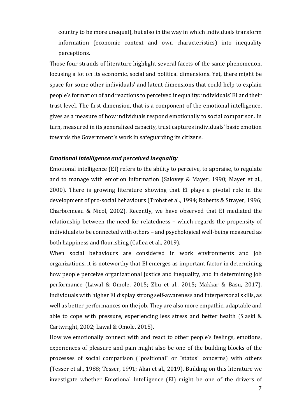country to be more unequal), but also in the way in which individuals transform information (economic context and own characteristics) into inequality perceptions.

Those four strands of literature highlight several facets of the same phenomenon, focusing a lot on its economic, social and political dimensions. Yet, there might be space for some other individuals' and latent dimensions that could help to explain people's formation of and reactions to perceived inequality: individuals' EI and their trust level. The first dimension, that is a component of the emotional intelligence, gives as a measure of how individuals respond emotionally to social comparison. In turn, measured in its generalized capacity, trust captures individuals' basic emotion towards the Government's work in safeguarding its citizens.

# *Emotional intelligence and perceived inequality*

Emotional intelligence (EI) refers to the ability to perceive, to appraise, to regulate and to manage with emotion information (Salovey & Mayer, 1990; Mayer et al., 2000). There is growing literature showing that EI plays a pivotal role in the development of pro-social behaviours (Trobst et al., 1994; Roberts & Strayer, 1996; Charbonneau & Nicol, 2002). Recently, we have observed that EI mediated the relationship between the need for relatedness - which regards the propensity of individuals to be connected with others – and psychological well-being measured as both happiness and flourishing (Callea et al., 2019).

When social behaviours are considered in work environments and job organizations, it is noteworthy that EI emerges as important factor in determining how people perceive organizational justice and inequality, and in determining job performance (Lawal & Omole, 2015; Zhu et al., 2015; Makkar & Basu, 2017). Individuals with higher EI display strong self-awareness and interpersonal skills, as well as better performances on the job. They are also more empathic, adaptable and able to cope with pressure, experiencing less stress and better health (Slaski  $\&$ Cartwright, 2002; Lawal & Omole, 2015).

How we emotionally connect with and react to other people's feelings, emotions, experiences of pleasure and pain might also be one of the building blocks of the processes of social comparison ("positional" or "status" concerns) with others (Tesser et al., 1988; Tesser, 1991; Akai et al., 2019). Building on this literature we investigate whether Emotional Intelligence (EI) might be one of the drivers of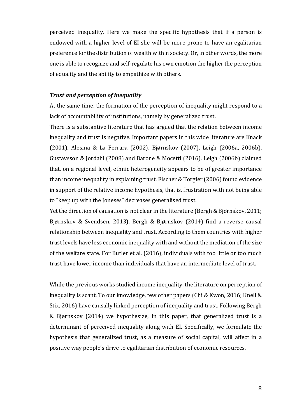perceived inequality. Here we make the specific hypothesis that if a person is endowed with a higher level of EI she will be more prone to have an egalitarian preference for the distribution of wealth within society. Or, in other words, the more one is able to recognize and self-regulate his own emotion the higher the perception of equality and the ability to empathize with others.

## **Trust and perception of inequality**

At the same time, the formation of the perception of inequality might respond to a lack of accountability of institutions, namely by generalized trust.

There is a substantive literature that has argued that the relation between income inequality and trust is negative. Important papers in this wide literature are Knack (2001), Alesina & La Ferrara (2002), Bjørnskov (2007), Leigh (2006a, 2006b), Gustavsson & Jordahl (2008) and Barone & Mocetti (2016). Leigh (2006b) claimed that, on a regional level, ethnic heterogeneity appears to be of greater importance than income inequality in explaining trust. Fischer & Torgler (2006) found evidence in support of the relative income hypothesis, that is, frustration with not being able to "keep up with the Joneses" decreases generalised trust.

Yet the direction of causation is not clear in the literature (Bergh & Bjørnskov, 2011; Bjørnskov & Svendsen, 2013). Bergh & Bjørnskov (2014) find a reverse causal relationship between inequality and trust. According to them countries with higher trust levels have less economic inequality with and without the mediation of the size of the welfare state. For Butler et al. (2016), individuals with too little or too much trust have lower income than individuals that have an intermediate level of trust.

While the previous works studied income inequality, the literature on perception of inequality is scant. To our knowledge, few other papers (Chi & Kwon, 2016; Knell & Stix, 2016) have causally linked perception of inequality and trust. Following Bergh & Bjørnskov (2014) we hypothesize, in this paper, that generalized trust is a determinant of perceived inequality along with EI. Specifically, we formulate the hypothesis that generalized trust, as a measure of social capital, will affect in a positive way people's drive to egalitarian distribution of economic resources.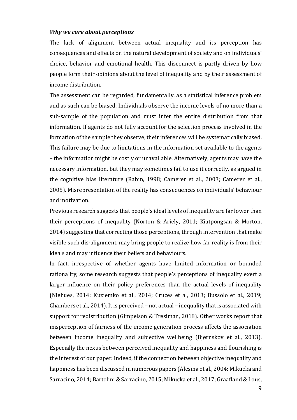#### *Why we care about perceptions*

The lack of alignment between actual inequality and its perception has consequences and effects on the natural development of society and on individuals' choice, behavior and emotional health. This disconnect is partly driven by how people form their opinions about the level of inequality and by their assessment of income distribution.

The assessment can be regarded, fundamentally, as a statistical inference problem and as such can be biased. Individuals observe the income levels of no more than a sub-sample of the population and must infer the entire distribution from that information. If agents do not fully account for the selection process involved in the formation of the sample they observe, their inferences will be systematically biased. This failure may be due to limitations in the information set available to the agents – the information might be costly or unavailable. Alternatively, agents may have the necessary information, but they may sometimes fail to use it correctly, as argued in the cognitive bias literature (Rabin, 1998; Camerer et al., 2003; Camerer et al., 2005). Misrepresentation of the reality has consequences on individuals' behaviour and motivation.

Previous research suggests that people's ideal levels of inequality are far lower than their perceptions of inequality (Norton & Ariely, 2011; Kiatpongsan & Morton, 2014) suggesting that correcting those perceptions, through intervention that make visible such dis-alignment, may bring people to realize how far reality is from their ideals and may influence their beliefs and behaviours.

In fact, irrespective of whether agents have limited information or bounded rationality, some research suggests that people's perceptions of inequality exert a larger influence on their policy preferences than the actual levels of inequality (Niehues, 2014; Kuziemko et al., 2014; Cruces et al, 2013; Bussolo et al., 2019; Chambers et al., 2014). It is perceived  $-$  not actual  $-$  inequality that is associated with support for redistribution (Gimpelson & Tresiman, 2018). Other works report that misperception of fairness of the income generation process affects the association between income inequality and subjective wellbeing (Bjørnskov et al., 2013). Especially the nexus between perceived inequality and happiness and flourishing is the interest of our paper. Indeed, if the connection between objective inequality and happiness has been discussed in numerous papers (Alesina et al., 2004; Mikucka and Sarracino, 2014; Bartolini & Sarracino, 2015; Mikucka et al., 2017; Graafland & Lous,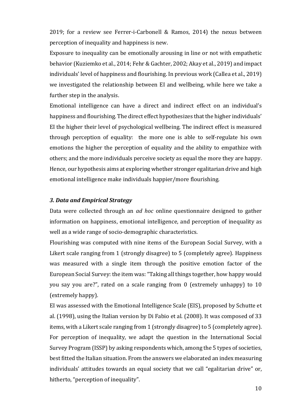2019; for a review see Ferrer-i-Carbonell  $&$  Ramos, 2014) the nexus between perception of inequality and happiness is new.

Exposure to inequality can be emotionally arousing in line or not with empathetic behavior (Kuziemko et al., 2014; Fehr & Gachter, 2002; Akay et al., 2019) and impact individuals' level of happiness and flourishing. In previous work (Callea et al., 2019) we investigated the relationship between EI and wellbeing, while here we take a further step in the analysis.

Emotional intelligence can have a direct and indirect effect on an individual's happiness and flourishing. The direct effect hypothesizes that the higher individuals' EI the higher their level of psychological wellbeing. The indirect effect is measured through perception of equality: the more one is able to self-regulate his own emotions the higher the perception of equality and the ability to empathize with others; and the more individuals perceive society as equal the more they are happy. Hence, our hypothesis aims at exploring whether stronger egalitarian drive and high emotional intelligence make individuals happier/more flourishing.

### *3. Data and Empirical Strategy*

Data were collected through an *ad hoc* online questionnaire designed to gather information on happiness, emotional intelligence, and perception of inequality as well as a wide range of socio-demographic characteristics.

Flourishing was computed with nine items of the European Social Survey, with a Likert scale ranging from 1 (strongly disagree) to 5 (completely agree). Happiness was measured with a single item through the positive emotion factor of the European Social Survey: the item was: "Taking all things together, how happy would you say you are?", rated on a scale ranging from 0 (extremely unhappy) to 10 (extremely happy).

EI was assessed with the Emotional Intelligence Scale (EIS), proposed by Schutte et al.  $(1998)$ , using the Italian version by Di Fabio et al.  $(2008)$ . It was composed of 33 items, with a Likert scale ranging from 1 (strongly disagree) to 5 (completely agree). For perception of inequality, we adapt the question in the International Social Survey Program (ISSP) by asking respondents which, among the 5 types of societies, best fitted the Italian situation. From the answers we elaborated an index measuring individuals' attitudes towards an equal society that we call "egalitarian drive" or, hitherto, "perception of inequality".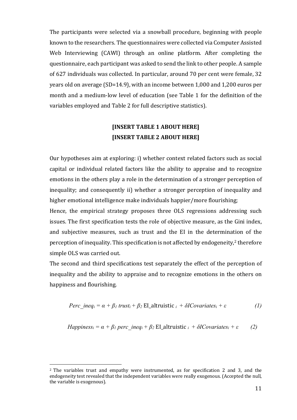The participants were selected via a snowball procedure, beginning with people known to the researchers. The questionnaires were collected via Computer Assisted Web Interviewing (CAWI) through an online platform. After completing the questionnaire, each participant was asked to send the link to other people. A sample of 627 individuals was collected. In particular, around 70 per cent were female, 32 years old on average (SD=14.9), with an income between 1,000 and 1,200 euros per month and a medium-low level of education (see Table 1 for the definition of the variables employed and Table 2 for full descriptive statistics).

# **[INSERT TABLE 1 ABOUT HERE] [INSERT TABLE 2 ABOUT HERE]**

Our hypotheses aim at exploring: i) whether context related factors such as social capital or individual related factors like the ability to appraise and to recognize emotions in the others play a role in the determination of a stronger perception of inequality; and consequently ii) whether a stronger perception of inequality and higher emotional intelligence make individuals happier/more flourishing;

Hence, the empirical strategy proposes three OLS regressions addressing such issues. The first specification tests the role of objective measure, as the Gini index, and subjective measures, such as trust and the EI in the determination of the perception of inequality. This specification is not affected by endogeneity,<sup>2</sup> therefore simple OLS was carried out.

The second and third specifications test separately the effect of the perception of inequality and the ability to appraise and to recognize emotions in the others on happiness and flourishing.

$$
Perc\_ineq_i = \alpha + \beta_1 \text{ trust}_i + \beta_2 \text{ El\_altruistic}_i + \delta I Covariates_i + \varepsilon
$$
 (1)

*Happiness<sub>i</sub>* = 
$$
\alpha + \beta_1
$$
 perc<sub>i</sub> ineq<sub>i</sub> +  $\beta_2$  El<sub>i</sub>altruistic<sub>i</sub> +  $\delta$  *ICovariates<sub>i</sub>* +  $\varepsilon$  (2)

 $2$  The variables trust and empathy were instrumented, as for specification 2 and 3, and the endogeneity test revealed that the independent variables were really exogenous. (Accepted the null, the variable is exogenous).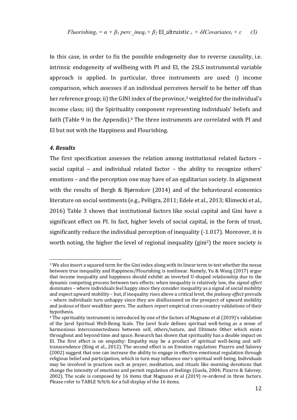In this case, in order to fix the possible endogeneity due to reverse causality, i.e. intrinsic endogeneity of wellbeing with PI and EI, the 2SLS instrumental variable approach is applied. In particular, three instruments are used: i) income comparison, which assesses if an individual perceives herself to be better off than her reference group; ii) the GINI index of the province,<sup>3</sup> weighted for the individual's income class; iii) the Spirituality component representing individuals' beliefs and faith (Table 9 in the Appendix).<sup>4</sup> The three instruments are correlated with PI and EI but not with the Happiness and Flourishing.

## *4. Results*

The first specification assesses the relation among institutional related factors social capital  $-$  and individual related factor  $-$  the ability to recognize others' emotions – and the perception one may have of an egalitarian society. In alignment with the results of Bergh & Bjørnskov (2014) and of the behavioural economics literature on social sentiments (e.g., Pelligra, 2011; Edele et al., 2013; Klimecki et al., 2016) Table 3 shows that institutional factors like social capital and Gini have a significant effect on PI. In fact, higher levels of social capital, in the form of trust, significantly reduce the individual perception of inequality  $(-1.017)$ . Moreover, it is worth noting, the higher the level of regional inequality  $(\text{gini}^2)$  the more society is

 $3$  We also insert a squared term for the Gini index along with its linear term to test whether the nexus between true inequality and Happiness/Flourishing is nonlinear. Namely, Yu & Wang (2017) argue that income inequality and happiness should exhibit an inverted U-shaped relationship due to the dynamic competing process between two effects: when inequality is relatively low, the *signal effect* dominates – where individuals feel happy since they consider inequality as a signal of social mobility and expect upward mobility – but, if inequality rises above a critical level, the *jealousy effect* prevails – where individuals turn unhappy since they are disillusioned on the prospect of upward mobility and jealous of their wealthier peers. The authors report empirical cross-country validations of their hypothesis.

<sup>&</sup>lt;sup>4</sup> The spirituality instrument is introduced by one of the factors of Magnano et al (2019)'s validation of the Jarel Spiritual Well-Being Scale. The Jarel Scale defines spiritual well-being as a sense of harmonious interconnectedness between self, others/nature, and Ultimate Other which exists throughout and beyond time and space. Research has shown that spirituality has a double impact on EI. The first effect is on empathy: Empathy may be a product of spiritual well-being and selftranscendence (King et al., 2012). The second effect is on Emotion regulation: Pizarro and Salovey (2002) suggest that one can increase the ability to engage in effective emotional regulation through religious belief and participation, which in turn may influence one's spiritual well-being. Individuals may be involved in practices such as prayer, meditation, and rituals like morning devotions that change the intensity of emotions and permit regulation of feelings (Guela, 2004; Pizarro & Salovey, 2002). The scale is composed by 16 items that Magnano et al  $(2019)$  re-ordered in three factors. Please refer to TABLE %%% for a full display of the 16 items.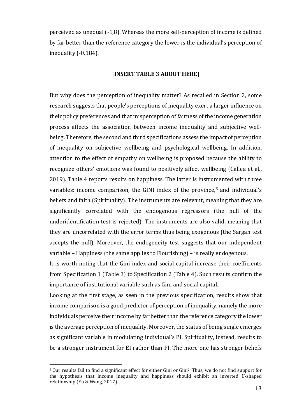perceived as unequal (-1,8). Whereas the more self-perception of income is defined by far better than the reference category the lower is the individual's perception of inequality (-0.184).

## [**INSERT TABLE 3 ABOUT HERE]**

But why does the perception of inequality matter? As recalled in Section 2, some research suggests that people's perceptions of inequality exert a larger influence on their policy preferences and that misperception of fairness of the income generation process affects the association between income inequality and subjective wellbeing. Therefore, the second and third specifications assess the impact of perception of inequality on subjective wellbeing and psychological wellbeing. In addition, attention to the effect of empathy on wellbeing is proposed because the ability to recognize others' emotions was found to positively affect wellbeing (Callea et al., 2019). Table 4 reports results on happiness. The latter is instrumented with three variables: income comparison, the GINI index of the province,<sup>5</sup> and individual's beliefs and faith (Spirituality). The instruments are relevant, meaning that they are significantly correlated with the endogenous regressors (the null of the underidentification test is rejected). The instruments are also valid, meaning that they are uncorrelated with the error terms thus being exogenous (the Sargan test accepts the null). Moreover, the endogeneity test suggests that our independent variable  $-$  Happiness (the same applies to Flourishing)  $-$  is really endogenous.

It is worth noting that the Gini index and social capital increase their coefficients from Specification 1 (Table 3) to Specification 2 (Table 4). Such results confirm the importance of institutional variable such as Gini and social capital.

Looking at the first stage, as seen in the previous specification, results show that income comparison is a good predictor of perception of inequality, namely the more individuals perceive their income by far better than the reference category the lower is the average perception of inequality. Moreover, the status of being single emerges as significant variable in modulating individual's PI. Spirituality, instead, results to be a stronger instrument for EI rather than PI. The more one has stronger beliefs

<sup>&</sup>lt;sup>5</sup> Our results fail to find a significant effect for either Gini or Gini<sup>2</sup>. Thus, we do not find support for the hypothesis that income inequality and happiness should exhibit an inverted U-shaped relationship (Yu & Wang, 2017).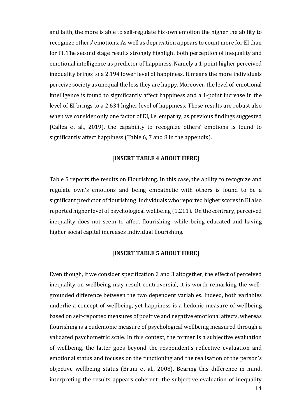and faith, the more is able to self-regulate his own emotion the higher the ability to recognize others' emotions. As well as deprivation appears to count more for EI than for PI. The second stage results strongly highlight both perception of inequality and emotional intelligence as predictor of happiness. Namely a 1-point higher perceived inequality brings to a 2.194 lower level of happiness. It means the more individuals perceive society as unequal the less they are happy. Moreover, the level of emotional intelligence is found to significantly affect happiness and a 1-point increase in the level of EI brings to a 2.634 higher level of happiness. These results are robust also when we consider only one factor of EI, i.e. empathy, as previous findings suggested (Callea et al., 2019), the capability to recognize others' emotions is found to significantly affect happiness (Table 6, 7 and 8 in the appendix).

# **[INSERT TABLE 4 ABOUT HERE]**

Table 5 reports the results on Flourishing. In this case, the ability to recognize and regulate own's emotions and being empathetic with others is found to be a significant predictor of flourishing: individuals who reported higher scores in EI also reported higher level of psychological wellbeing  $(1.211)$ . On the contrary, perceived inequality does not seem to affect flourishing, while being educated and having higher social capital increases individual flourishing.

#### **[INSERT TABLE 5 ABOUT HERE]**

Even though, if we consider specification 2 and 3 altogether, the effect of perceived inequality on wellbeing may result controversial, it is worth remarking the wellgrounded difference between the two dependent variables. Indeed, both variables underlie a concept of wellbeing, yet happiness is a hedonic measure of wellbeing based on self-reported measures of positive and negative emotional affects, whereas flourishing is a eudemonic measure of psychological wellbeing measured through a validated psychometric scale. In this context, the former is a subjective evaluation of wellbeing, the latter goes beyond the respondent's reflective evaluation and emotional status and focuses on the functioning and the realisation of the person's objective wellbeing status (Bruni et al., 2008). Bearing this difference in mind, interpreting the results appears coherent: the subjective evaluation of inequality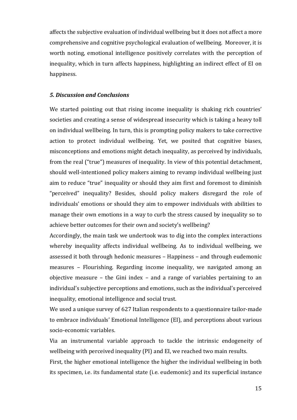affects the subjective evaluation of individual wellbeing but it does not affect a more comprehensive and cognitive psychological evaluation of wellbeing. Moreover, it is worth noting, emotional intelligence positively correlates with the perception of inequality, which in turn affects happiness, highlighting an indirect effect of EI on happiness.

## *5. Discussion and Conclusions*

We started pointing out that rising income inequality is shaking rich countries' societies and creating a sense of widespread insecurity which is taking a heavy toll on individual wellbeing. In turn, this is prompting policy makers to take corrective action to protect individual wellbeing. Yet, we posited that cognitive biases, misconceptions and emotions might detach inequality, as perceived by individuals, from the real ("true") measures of inequality. In view of this potential detachment, should well-intentioned policy makers aiming to revamp individual wellbeing just aim to reduce "true" inequality or should they aim first and foremost to diminish "perceived" inequality? Besides, should policy makers disregard the role of individuals' emotions or should they aim to empower individuals with abilities to manage their own emotions in a way to curb the stress caused by inequality so to achieve better outcomes for their own and society's wellbeing?

Accordingly, the main task we undertook was to dig into the complex interactions whereby inequality affects individual wellbeing. As to individual wellbeing, we assessed it both through hedonic measures - Happiness - and through eudemonic measures - Flourishing. Regarding income inequality, we navigated among an objective measure  $-$  the Gini index  $-$  and a range of variables pertaining to an individual's subjective perceptions and emotions, such as the individual's perceived inequality, emotional intelligence and social trust.

We used a unique survey of 627 Italian respondents to a questionnaire tailor-made to embrace individuals' Emotional Intelligence (EI), and perceptions about various socio-economic variables.

Via an instrumental variable approach to tackle the intrinsic endogeneity of wellbeing with perceived inequality (PI) and EI, we reached two main results.

First, the higher emotional intelligence the higher the individual wellbeing in both its specimen, i.e. its fundamental state (i.e. eudemonic) and its superficial instance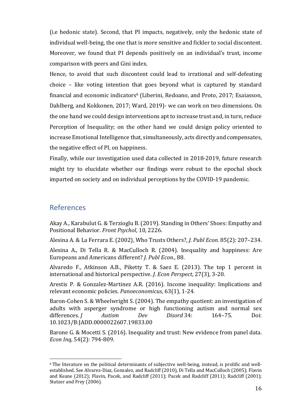(i.e hedonic state). Second, that PI impacts, negatively, only the hedonic state of individual well-being, the one that is more sensitive and fickler to social discontent. Moreover, we found that PI depends positively on an individual's trust, income comparison with peers and Gini index.

Hence, to avoid that such discontent could lead to irrational and self-defeating choice  $-$  like voting intention that goes beyond what is captured by standard financial and economic indicators<sup>6</sup> (Liberini, Redoano, and Proto, 2017; Esaiasson, Dahlberg, and Kokkonen, 2017; Ward, 2019)- we can work on two dimensions. On the one hand we could design interventions apt to increase trust and, in turn, reduce Perception of Inequality; on the other hand we could design policy oriented to increase Emotional Intelligence that, simultaneously, acts directly and compensates, the negative effect of PI, on happiness.

Finally, while our investigation used data collected in 2018-2019, future research might try to elucidate whether our findings were robust to the epochal shock imparted on society and on individual perceptions by the COVID-19 pandemic.

# References

Akay A., Karabulut G. & Terzioglu B. (2019). Standing in Others' Shoes: Empathy and Positional Behavior. Front Psychol, 10, 2226.

Alesina A. & La Ferrara E. (2002), Who Trusts Others?, *J. Publ Econ.* 85(2): 207–234.

Alesina A., Di Tella R. & MacCulloch R. (2004). Inequality and happiness: Are Europeans and Americans different? *J. Publ Econ.*, 88.

Alvaredo F., Atkinson A.B., Piketty T. & Saez E. (2013). The top 1 percent in international and historical perspective. *J. Econ Perspect*, 27(3), 3-20.

Arestis P. & Gonzalez-Martinez A.R. (2016). Income inequality: Implications and relevant economic policies. *Panoeconomicus*, 63(1), 1-24.

Baron-Cohen S. & Wheelwright S. (2004). The empathy quotient: an investigation of adults with asperger syndrome or high functioning autism and normal sex differences. *J Autism Dev Disord* 34: 164–75. Doi: 10.1023/B:JADD.0000022607.19833.00

Barone G. & Mocetti S. (2016). Inequality and trust: New evidence from panel data. *Econ Inq*, 54(2): 794-809.

 $6$  The literature on the political determinants of subjective well-being, instead, is prolific and wellestablished. See Alvarez-Diaz, Gonzalez, and Radcliff (2010), Di Tella and MacCulloch (2005); Flavin and Keane (2012); Flavin, Pacek, and Radcliff (2011); Pacek and Radcliff (2011); Radcliff (2001); Stutzer and Frey (2006).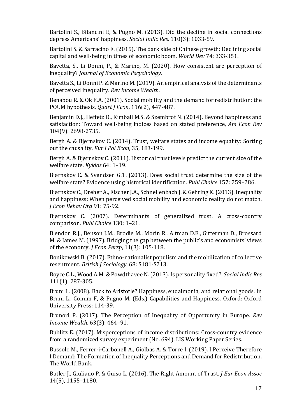Bartolini S., Bilancini E, & Pugno M. (2013). Did the decline in social connections depress Americans' happiness. *Social Indic Res.* 110(3): 1033-59.

Bartolini S. & Sarracino F. (2015). The dark side of Chinese growth: Declining social capital and well-being in times of economic boom. *World Dev* 74: 333-351.

Bavetta, S., Li Donni, P., & Marino, M. (2020). How consistent are perception of inequality? *Journal of Economic Pscychology*.

Bavetta S., Li Donni P. & Marino M. (2019). An empirical analysis of the determinants of perceived inequality. *Rev Income Wealth*.

Benabou R. & Ok E.A. (2001). Social mobility and the demand for redistribution: the POUM hypothesis. *Quart J Econ*, 116(2), 447-487.

Benjamin D.J., Heffetz O., Kimball M.S. & Szembrot N. (2014). Beyond happiness and satisfaction: Toward well-being indices based on stated preference, *Am Econ Rev* 104(9): 2698-2735.

Bergh A. & Bjørnskov C. (2014). Trust, welfare states and income equality: Sorting out the causality. *Eur J Pol Econ*, 35, 183-199.

Bergh A. & Bjørnskov C. (2011). Historical trust levels predict the current size of the welfare state. Kyklos 64: 1-19.

Bjørnskov C. & Svendsen G.T. (2013). Does social trust determine the size of the welfare state? Evidence using historical identification. *Publ Choice* 157: 259-286.

Bjørnskov C., Dreher A., Fischer J.A., Schnellenbach J. & Gehring K. (2013). Inequality and happiness: When perceived social mobility and economic reality do not match. *J Econ Behav Org* 91: 75-92.

Bjørnskov C. (2007). Determinants of generalized trust. A cross-country comparison. *Publ Choice* 130: 1–21.

Blendon R.J., Benson J.M., Brodie M., Morin R., Altman D.E., Gitterman D., Brossard M. & James M. (1997). Bridging the gap between the public's and economists' views of the economy. *J Econ Persp*, 11(3): 105-118.

Bonikowski B. (2017). Ethno-nationalist populism and the mobilization of collective resentment. *British J Sociology*, 68: S181-S213.

Boyce C.L., Wood A.M. & Powdthavee N. (2013). Is personality fixed?. *Social Indic Res* 111(1): 287-305.

Bruni L. (2008). Back to Aristotle? Happiness, eudaimonia, and relational goods. In Bruni L., Comim F, & Pugno M. (Eds.) Capabilities and Happiness. Oxford: Oxford University Press: 114-39.

Brunori P. (2017). The Perception of Inequality of Opportunity in Europe. *Rev Income Wealth*, 63(3): 464–91.

Bublitz E. (2017). Misperceptions of income distributions: Cross-country evidence from a randomized survey experiment (No. 694). LIS Working Paper Series.

Bussolo M., Ferrer-i-Carbonell A., Giolbas A. & Torre I. (2019). I Perceive Therefore I Demand: The Formation of Inequality Perceptions and Demand for Redistribution. The World Bank.

Butler J., Giuliano P. & Guiso L. (2016), The Right Amount of Trust. *J Eur Econ Assoc* 14(5), 1155–1180.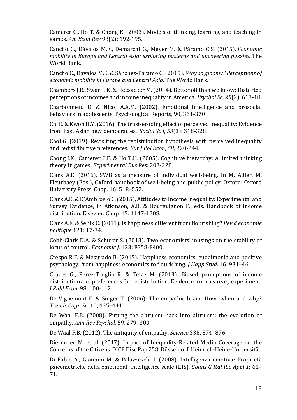Camerer C., Ho T. & Chong K. (2003). Models of thinking, learning, and teaching in games. *Am Econ Rev* 93(2): 192-195.

Cancho C., Dávalos M.E., Demarchi G., Meyer M. & Páramo C.S. (2015). *Economic mobility* in Europe and Central Asia: exploring patterns and uncovering puzzles. The World Bank.

Cancho C., Davalos M.E. & Sánchez-Páramo C. (2015). *Why so gloomy? Perceptions of economic mobility in Europe and Central Asia*. The World Bank.

Chambers J.R., Swan L.K. & Heesacker M. (2014). Better off than we know: Distorted perceptions of incomes and income inequality in America. *Psychol Sc*, 25(2): 613-18.

Charbonneau D. & Nicol A.A.M. (2002). Emotional intelligence and prosocial behaviors in adolescents. Psychological Reports, 90, 361-370

Chi E. & Kwon H.Y. (2016). The trust-eroding effect of perceived inequality: Evidence from East Asian new democracies. *Social Sc J*, *53*(3): 318-328.

Choi G. (2019). Revisiting the redistribution hypothesis with perceived inequality and redistributive preferences. *Eur* J Pol *Econ*, 58, 220-244.

Chong J.K., Camerer C.F. & Ho T.H. (2005). Cognitive hierarchy: A limited thinking theory in games. *Experimental Bus Res*: 203-228.

Clark A.E. (2016). SWB as a measure of individual well-being. In M. Adler, M. Fleurbaey (Eds.), Oxford handbook of well-being and public policy. Oxford: Oxford University Press, Chap. 16: 518-552.

Clark A.E. & D'Ambrosio C. (2015), Attitudes to Income Inequality: Experimental and Survey Evidence, in Atkinson, A.B. & Bourguignon F., eds. Handbook of income distribution. Elsevier. Chap. 15: 1147-1208.

Clark A.E. & Senik C. (2011). Is happiness different from flourishing? *Rev d'économie politique* 121: 17-34.

Cobb-Clark D.A. & Schurer S. (2013). Two economists' musings on the stability of locus of control. *Economic J.* 123: F358-F400.

Crespo R.F. & Mesurado B. (2015). Happiness economics, eudaimonia and positive psychology: from happiness economics to flourishing. *J Happ Stud*. 16: 931-46.

Cruces G., Perez-Truglia R. & Tetaz M. (2013). Biased perceptions of income distribution and preferences for redistribution: Evidence from a survey experiment. *J Publ Econ*, 98, 100-112.

De Vignemont F. & Singer T. (2006). The empathic brain: How, when and why? *Trends Cogn Sc*, 10, 435–441.

De Waal F.B. (2008). Putting the altruism back into altruism: the evolution of empathy. Ann Rev Psychol. 59, 279-300.

De Waal F.B. (2012). The antiquity of empathy. *Science* 336, 874–876.

Diermeier M. et al. (2017). Impact of Inequality-Related Media Coverage on the Concerns of the Citizens. DICE Disc Pap 258. Düsseldorf: Heinrich-Heine-Universität.

Di Fabio A., Giannini M. & Palazzeschi I. (2008). Intelligenza emotiva: Proprietà psicometriche della emotional intelligence scale (EIS). *Couns G Ital Ric Appl 1*: 61– 71.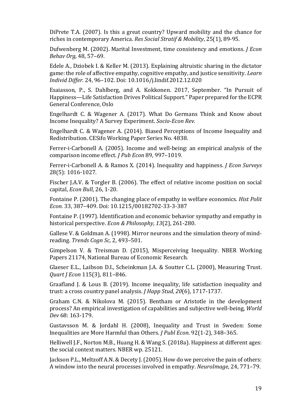DiPrete T.A.  $(2007)$ . Is this a great country? Upward mobility and the chance for riches in contemporary America. *Res Social Stratif & Mobility*, 25(1), 89-95.

Dufwenberg M. (2002). Marital Investment, time consistency and emotions. *J Econ Behav Org*, 48, 57-69.

Edele A., Dziobek I. & Keller M. (2013). Explaining altruistic sharing in the dictator game: the role of affective empathy, cognitive empathy, and justice sensitivity. *Learn Individ Differ.* 24, 96–102. Doi: 10.1016/j.lindif.2012.12.020

Esaiasson, P., S. Dahlberg, and A. Kokkonen. 2017, September. "In Pursuit of Happiness—Life Satisfaction Drives Political Support." Paper prepared for the ECPR General Conference, Oslo

Engelhardt C. & Wagener A. (2017). What Do Germans Think and Know about Income Inequality? A Survey Experiment. *Socio-Econ Rev.* 

Engelhardt C. & Wagener A. (2014). Biased Perceptions of Income Inequality and Redistribution. CESifo Working Paper Series No. 4838.

Ferrer-i-Carbonell A. (2005). Income and well-being: an empirical analysis of the comparison income effect. *J Pub Econ* 89, 997-1019.

Ferrer-i-Carbonell A. & Ramos X. (2014). Inequality and happiness. *J Econ Surveys* 28(5): 1016-1027.

Fischer J.A.V. & Torgler B. (2006). The effect of relative income position on social capital, *Econ Bull*, 26, 1-20.

Fontaine P. (2001). The changing place of empathy in welfare economics. *Hist Polit* Econ. 33, 387-409. Doi: 10.1215/00182702-33-3-387

Fontaine P. (1997). Identification and economic behavior sympathy and empathy in historical perspective. *Econ & Philosophy*, 13(2), 261-280.

Gallese V. & Goldman A. (1998). Mirror neurons and the simulation theory of mindreading. *Trends Cogn Sc*, 2, 493-501.

Gimpelson V. & Treisman D. (2015), Misperceiving Inequality. NBER Working Papers 21174, National Bureau of Economic Research.

Glaeser E.L., Laibson D.I., Scheinkman J.A. & Soutter C.L. (2000), Measuring Trust. *Quart J Econ* 115(3), 811–846.

Graafland J. & Lous B. (2019). Income inequality, life satisfaction inequality and trust: a cross country panel analysis. *J Happ Stud, 20*(6), 1717-1737.

Graham C.N. & Nikolova M. (2015). Bentham or Aristotle in the development process? An empirical investigation of capabilities and subjective well-being, *World Dev* 68: 163-179.

Gustavsson M. & Jordahl H. (2008), Inequality and Trust in Sweden: Some Inequalities are More Harmful than Others. *J Publ Econ*. 92(1-2), 348-365.

Helliwell J.F., Norton M.B., Huang H. & Wang S. (2018a). Happiness at different ages: the social context matters. NBER wp. 25121.

Jackson P.L., Meltzoff A.N. & Decety J. (2005). How do we perceive the pain of others: A window into the neural processes involved in empathy. *NeuroImage*, 24, 771–79.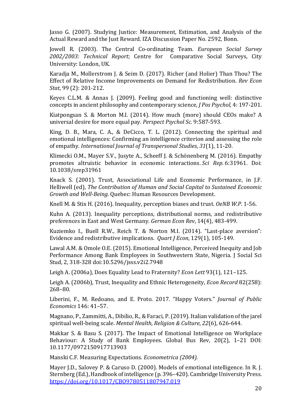Jasso G. (2007). Studying Justice: Measurement, Estimation, and Analysis of the Actual Reward and the Just Reward. IZA Discussion Paper No. 2592, Bonn.

Jowell R. (2003). The Central Co-ordinating Team. *European Social Survey 2002/2003: Technical Report*; Centre for Comparative Social Surveys, City University: London, UK.

Karadja M., Mollerstrom J. & Seim D. (2017). Richer (and Holier) Than Thou? The Effect of Relative Income Improvements on Demand for Redistribution. *Rev Econ Stat*, 99 (2): 201-212.

Keyes C.L.M. & Annas J. (2009). Feeling good and functioning well: distinctive concepts in ancient philosophy and contemporary science, *J Pos Psychol*, 4: 197-201.

Kiatpongsan S. & Morton M.I. (2014). How much (more) should CEOs make? A universal desire for more equal pay. *Perspect Psychol Sc.* 9:587-593.

King, D. B., Mara, C. A., & DeCicco, T. L. (2012). Connecting the spiritual and emotional intelligences: Confirming an intelligence criterion and assessing the role of empathy. *International Journal of Transpersonal Studies*, 31(1), 11-20.

Klimecki O.M., Mayer S.V., Jusyte A., Scheeff J. & Schönenberg M. (2016). Empathy promotes altruistic behavior in economic interactions. *Sci Rep.* 6:31961. Doi: 10.1038/srep31961

Knack S. (2001). Trust, Associational Life and Economic Performance, in J.F. Helliwell (ed), *The Contribution of Human and Social Capital to Sustained Economic Growth and Well-Being*. Ouebec: Human Resources Development.

Knell M. & Stix H. (2016). Inequality, perception biases and trust. *OeNB W.P.* 1-56.

Kuhn A. (2013). Inequality perceptions, distributional norms, and redistributive preferences in East and West Germany. *German Econ Rev*, 14(4), 483-499.

Kuziemko I., Buell R.W., Reich T. & Norton M.I. (2014). "Last-place aversion": Evidence and redistributive implications. *Quart J Econ*, 129(1), 105-149.

Lawal A.M. & Omole O.E. (2015). Emotional Intelligence, Perceived Inequity and Job Performance Among Bank Employees in Southwestern State, Nigeria. J Social Sci Stud, 2, 318-328 doi:10.5296/jsss.v2i2.7948

Leigh A. (2006a), Does Equality Lead to Fraternity? *Econ Lett* 93(1), 121-125.

Leigh A. (2006b), Trust, Inequality and Ethnic Heterogeneity, *Econ Record* 82(258): 268–80.

Liberini, F., M. Redoano, and E. Proto. 2017. "Happy Voters." *Journal of Public Economics* 146: 41–57. 

Magnano, P., Zammitti, A., Dibilio, R., & Faraci, P. (2019). Italian validation of the jarel spiritual well-being scale. *Mental Health, Religion & Culture*, 22(6), 626-644.

Makkar S. & Basu S. (2017). The Impact of Emotional Intelligence on Workplace Behaviour: A Study of Bank Employees. Global Bus Rev, 20(2), 1-21 DOI: 10.1177/0972150917713903

Manski C.F. Measuring Expectations. *Econometrica (2004).* 

Mayer J.D., Salovey P. & Caruso D. (2000). Models of emotional intelligence. In R. J. Sternberg (Ed.), Handbook of intelligence (p. 396–420). Cambridge University Press. https://doi.org/10.1017/CBO9780511807947.019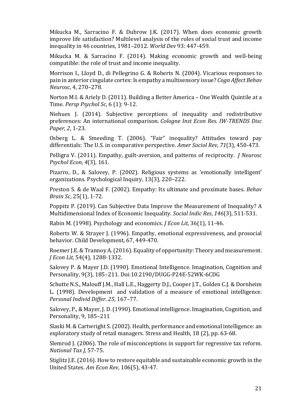Mikucka M., Sarracino F. & Dubrow J.K. (2017). When does economic growth improve life satisfaction? Multilevel analysis of the roles of social trust and income inequality in 46 countries, 1981–2012. *World Dev* 93: 447-459.

Mikucka M. & Sarracino F. (2014). Making economic growth and well-being compatible: the role of trust and income inequality.

Morrison I., Lloyd D., di Pellegrino G. & Roberts N. (2004). Vicarious responses to pain in anterior cingulate cortex: Is empathy a multisensory issue? *Cogn Affect Behav Neurosc*, 4, 270–278.

Norton M.I. & Ariely D. (2011). Building a Better America - One Wealth Quintile at a Time. *Persp Psychol Sc*, 6 (1): 9-12.

Niehues J. (2014). Subjective perceptions of inequality and redistributive preferences: An international comparison. *Cologne Inst Econ Res. IW-TRENDS Disc Paper*, 2, 1-23.

Osberg L. & Smeeding T. (2006). "Fair" inequality? Attitudes toward pay differentials: The U.S. in comparative perspective. *Amer Sociol Rev*, 71(3), 450-473.

Pelligra V. (2011). Empathy, guilt-aversion, and patterns of reciprocity. *J Neurosc Psychol Econ*, *4*(3), 161.

Pizarro, D., & Salovey, P. (2002). Religious systems as 'emotionally intelligent' organizations. Psychological Inquiry, 13(3), 220-222.

Preston S. & de Waal F. (2002). Empathy: Its ultimate and proximate bases. *Behav Brain Sc*, 25(1), 1-72.

Poppitz P. (2019). Can Subjective Data Improve the Measurement of Inequality? A Multidimensional Index of Economic Inequality. *Social Indic Res*, 146(3), 511-531.

Rabin M. (1998). Psychology and economics. *J Econ Lit*, 36(1), 11-46.

Roberts W. & Strayer J. (1996). Empathy, emotional expressiveness, and prosocial behavior. Child Development, 67, 449-470.

Roemer J.E. & Trannoy A. (2016). Equality of opportunity: Theory and measurement. *J* Econ Lit, 54(4), 1288-1332.

Salovey P. & Mayer J.D. (1990). Emotional Intelligence. Imagination, Cognition and Personality, 9(3), 185-211. Doi:10.2190/DUGG-P24E-52WK-6CDG

Schutte N.S., Malouff J.M., Hall L.E., Haggerty D.J., Cooper J.T., Golden C.J. & Dornheim L. (1998). Development and validation of a measure of emotional intelligence. *Personal Individ Differ. 25*, 167–77.

Salovey, P., & Mayer, J. D. (1990). Emotional intelligence. Imagination, Cognition, and Personality, 9, 185-211

Slaski M. & Cartwright S. (2002). Health, performance and emotional intelligence: an exploratory study of retail managers. Stress and Health, 18 (2), pp. 63-68.

Slemrod J. (2006). The role of misconceptions in support for regressive tax reform. *National Tax J, 57-75.* 

Stiglitz J.E. (2016). How to restore equitable and sustainable economic growth in the United States. *Am Econ Rev*, 106(5), 43-47.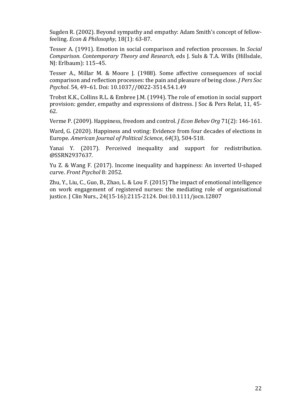Sugden R. (2002). Beyond sympathy and empathy: Adam Smith's concept of fellowfeeling. *Econ & Philosophy*, 18(1): 63-87.

Tesser A. (1991). Emotion in social comparison and refection processes. In *Social Comparison. Contemporary Theory and Research, eds J. Suls & T.A. Wills (Hillsdale,* NI: Erlbaum): 115-45.

Tesser A., Millar M. & Moore J. (1988). Some affective consequences of social comparison and reflection processes: the pain and pleasure of being close. *J Pers Soc Psychol*. 54, 49–61. Doi: 10.1037//0022-3514.54.1.49

Trobst K.K., Collins R.L. & Embree J.M. (1994). The role of emotion in social support provision: gender, empathy and expressions of distress. J Soc & Pers Relat, 11, 45-62.

Verme P. (2009). Happiness, freedom and control. *J Econ Behav Org* 71(2): 146-161.

Ward, G. (2020). Happiness and voting: Evidence from four decades of elections in Europe. *American Journal of Political Science*, 64(3), 504-518.

Yanai Y. (2017). Perceived inequality and support for redistribution. @SSRN2937637.

Yu Z. & Wang F. (2017). Income inequality and happiness: An inverted U-shaped curve. *Front Psychol* 8: 2052.

Zhu, Y., Liu, C., Guo, B., Zhao, L. & Lou F. (2015) The impact of emotional intelligence on work engagement of registered nurses: the mediating role of organisational justice. J Clin Nurs., 24(15-16):2115-2124. Doi:10.1111/jocn.12807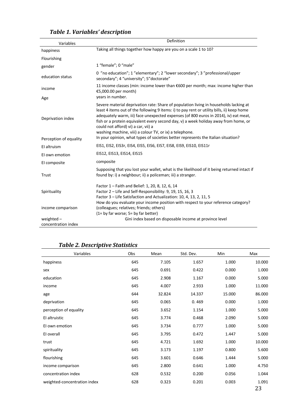| Variables                           | Definition                                                                                                                                                                                                                                                                                                                                                                                                                                                           |
|-------------------------------------|----------------------------------------------------------------------------------------------------------------------------------------------------------------------------------------------------------------------------------------------------------------------------------------------------------------------------------------------------------------------------------------------------------------------------------------------------------------------|
| happiness                           | Taking all things together how happy are you on a scale 1 to 10?                                                                                                                                                                                                                                                                                                                                                                                                     |
| Flourishing                         |                                                                                                                                                                                                                                                                                                                                                                                                                                                                      |
| gender                              | 1 "female"; 0 "male"                                                                                                                                                                                                                                                                                                                                                                                                                                                 |
| education status                    | 0 "no education"; 1 "elementary"; 2 "lower secondary"; 3 "professional/upper<br>secondary"; 4 "university"; 5"doctorate"                                                                                                                                                                                                                                                                                                                                             |
| income                              | 11 income classes (min: income lower than $\epsilon$ 600 per month; max: income higher than<br>€5,000.00 per month)                                                                                                                                                                                                                                                                                                                                                  |
| Age                                 | years in number.                                                                                                                                                                                                                                                                                                                                                                                                                                                     |
| Deprivation index                   | Severe material deprivation rate: Share of population living in households lacking at<br>least 4 items out of the following 9 items: i) to pay rent or utility bills, ii) keep home<br>adequately warm, iii) face unexpected expenses (of 800 euros in 2014), iv) eat meat,<br>fish or a protein equivalent every second day, v) a week holiday away from home, or<br>could not afford) vi) a car, vii) a<br>washing machine, viii) a colour TV, or ix) a telephone. |
| Perception of equality              | In your opinion, what types of societies better represents the Italian situation?                                                                                                                                                                                                                                                                                                                                                                                    |
| El altruism                         | EIS1, EIS2, EIS3r, EIS4, EIS5, EIS6, EIS7, EIS8, EIS9, EIS10, EIS11r                                                                                                                                                                                                                                                                                                                                                                                                 |
| El own emotion                      | EIS12, EIS13, EIS14, EIS15                                                                                                                                                                                                                                                                                                                                                                                                                                           |
| El composite                        | composite                                                                                                                                                                                                                                                                                                                                                                                                                                                            |
| Trust                               | Supposing that you lost your wallet, what is the likelihood of it being returned intact if<br>found by: i) a neighbour; ii) a policeman; iii) a stranger.                                                                                                                                                                                                                                                                                                            |
| Spirituality                        | Factor 1 - Faith and Belief: 1, 20, 8, 12, 6, 14<br>Factor 2 - Life and Self-Responsibility: 9, 19, 15, 16, 3<br>Factor 3 - Life Satisfaction and Actualization: 10, 4, 13, 2, 11, 5<br>How do you evaluate your income position with respect to your reference category?                                                                                                                                                                                            |
| income comparison                   | (colleagues; relatives; friends; others)<br>(1= by far worse; 5= by far better)                                                                                                                                                                                                                                                                                                                                                                                      |
| weighted $-$<br>concentration index | Gini index based on disposable income at province level                                                                                                                                                                                                                                                                                                                                                                                                              |

# *Table 1. Variables' description*

# **Table 2. Descriptive Statistics**

| Variables                    | Obs | Mean   | Std. Dev. | Min    | Max         |
|------------------------------|-----|--------|-----------|--------|-------------|
| happiness                    | 645 | 7.105  | 1.657     | 1.000  | 10.000      |
| sex                          | 645 | 0.691  | 0.422     | 0.000  | 1.000       |
| education                    | 645 | 2.908  | 1.167     | 0.000  | 5.000       |
| income                       | 645 | 4.007  | 2.933     | 1.000  | 11.000      |
| age                          | 644 | 32.824 | 14.337    | 15.000 | 86.000      |
| deprivation                  | 645 | 0.065  | 0.469     | 0.000  | 1.000       |
| perception of equality       | 645 | 3.652  | 1.154     | 1.000  | 5.000       |
| El altruistic                | 645 | 3.774  | 0.468     | 2.090  | 5.000       |
| El own emotion               | 645 | 3.734  | 0.777     | 1.000  | 5.000       |
| El overall                   | 645 | 3.795  | 0.472     | 1.447  | 5.000       |
| trust                        | 645 | 4.721  | 1.692     | 1.000  | 10.000      |
| spirituality                 | 645 | 3.173  | 1.197     | 0.800  | 5.600       |
| flourishing                  | 645 | 3.601  | 0.646     | 1.444  | 5.000       |
| income comparison            | 645 | 2.800  | 0.641     | 1.000  | 4.750       |
| concentration index          | 628 | 0.532  | 0.200     | 0.056  | 1.044       |
| weighted-concentration index | 628 | 0.323  | 0.201     | 0.003  | 1.091<br>23 |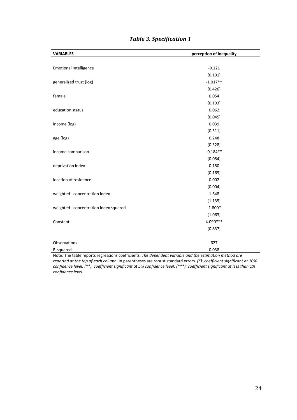| <b>VARIABLES</b>                      | perception of inequality |
|---------------------------------------|--------------------------|
|                                       |                          |
| <b>Emotional Intelligence</b>         | $-0.121$                 |
|                                       | (0.101)                  |
| generalized trust (log)               | $-1.017**$               |
|                                       | (0.426)                  |
| female                                | 0.054                    |
|                                       | (0.103)                  |
| education status                      | 0.062                    |
|                                       | (0.045)                  |
| income (log)                          | 0.039                    |
|                                       | (0.311)                  |
| age (log)                             | 0.248                    |
|                                       | (0.328)                  |
| income comparison                     | $-0.184**$               |
|                                       | (0.084)                  |
| deprivation index                     | 0.180                    |
|                                       | (0.169)                  |
| location of residence                 | 0.002                    |
|                                       | (0.004)                  |
| weighted -concentration index         | 1.648                    |
|                                       | (1.135)                  |
| weighted -concentration index squared | $-1.800*$                |
|                                       | (1.063)                  |
| Constant                              | 4.090 ***                |
|                                       | (0.837)                  |
|                                       |                          |
| Observations                          | 627                      |
| R-squared                             | 0.038                    |

# *Table 3. Specification 1*

Note: The table reports regressions coefficients. *The dependent variable and the estimation method are reported at the top of each column.* In parentheses are robust standard errors. *(\*): coefficient significant at 10% confidence level; (\*\*): coefficient significant at 5% confidence level; (\*\*\*): coefficient significant at less than 1% confidence level.*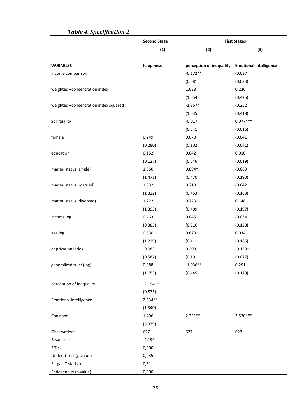|                                       | <b>Second Stage</b> | <b>First Stages</b>      |                               |
|---------------------------------------|---------------------|--------------------------|-------------------------------|
|                                       | (1)                 | (2)                      | (3)                           |
| <b>VARIABLES</b>                      | happiness           | perception of inequality | <b>Emotional Intelligence</b> |
| income comparison                     |                     | $-0.172**$               | $-0.037$                      |
|                                       |                     | (0.081)                  | (0.033)                       |
| weighted -concentration index         |                     | 1.688                    | 0.236                         |
|                                       |                     | (1.054)                  | (0.425)                       |
| weighted -concentration index squared |                     | $-1.867*$                | $-0.252$                      |
|                                       |                     | (1.035)                  | (0.418)                       |
| Spirituality                          |                     | $-0.017$                 | $0.077***$                    |
|                                       |                     | (0.041)                  | (0.016)                       |
| female                                | 0.249               | 0.070                    | $-0.041$                      |
|                                       | (0.280)             | (0.102)                  | (0.041)                       |
| education                             | 0.152               | 0.042                    | 0.010                         |
|                                       | (0.127)             | (0.046)                  | (0.019)                       |
| marital status (single)               | 1.860               | $0.894*$                 | $-0.083$                      |
|                                       | (1.471)             | (0.470)                  | (0.190)                       |
| marital status (married)              | 1.832               | 0.710                    | $-0.042$                      |
|                                       | (1.322)             | (0.453)                  | (0.183)                       |
| marital status (divorced)             | 1.222               | 0.723                    | 0.148                         |
|                                       | (1.395)             | (0.489)                  | (0.197)                       |
| income log                            | 0.463               | 0.045                    | $-0.034$                      |
|                                       | (0.385)             | (0.316)                  | (0.128)                       |
| age log                               | 0.630               | 0.670                    | 0.034                         |
|                                       | (1.229)             | (0.411)                  | (0.166)                       |
| deprivation index                     | $-0.083$            | 0.209                    | $-0.150*$                     |
|                                       | (0.582)             | (0.191)                  | (0.077)                       |
| generalized trust (log)               | 0.088               | $-1.036**$               | 0.291                         |
|                                       | (1.653)             | (0.445)                  | (0.179)                       |
| perception of inequality              | $-2.194**$          |                          |                               |
|                                       | (0.875)             |                          |                               |
| <b>Emotional Intelligence</b>         | $2.634**$           |                          |                               |
|                                       | (1.340)             |                          |                               |
| Constant                              | 1.496               | $2.321**$                | 3.520***                      |
|                                       | (5.339)             |                          |                               |
| Observations                          | 627                 | 627                      | 627                           |
| R-squared                             | $-2.199$            |                          |                               |
| F Test                                | 0,000               |                          |                               |
| Underid Test (p.value)                | 0,035               |                          |                               |
| Sargan T.statistic                    | 0,611               |                          |                               |
| Endogeneity (p.value)                 | 0,000               |                          |                               |

# **Table 4. Specification 2**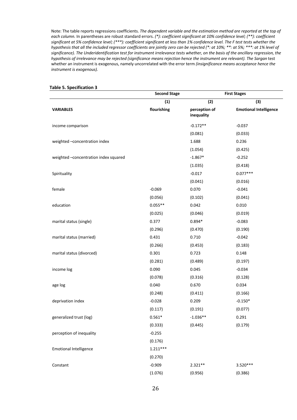Note: The table reports regressions coefficients. *The dependent variable and the estimation method are reported at the top of each column.* In parentheses are robust standard errors. *(\*): coefficient significant at 10% confidence level; (\*\*): coefficient significant at 5% confidence level; (\*\*\*): coefficient significant at less than 1% confidence level. The F test tests whether the hypothesis that all the included regressor coefficients are jointly zero can be rejected (\*: at 10%; \*\*: at 5%; \*\*\*: at 1% level of significance). The Underidentification test for instrument irrelevance tests whether, on the basis of the ancillary regression, the hypothesis of irrelevance may be rejected (significance means rejection hence the instrument are relevant). The Sargan* test whether an instrument is exogenous, namely uncorrelated with the error term *(insignificance means acceptance hence the instrument is exogenous).*

|                                       | <b>Second Stage</b><br><b>First Stages</b> |                             |                               |
|---------------------------------------|--------------------------------------------|-----------------------------|-------------------------------|
|                                       | (1)                                        | (2)                         | (3)                           |
| <b>VARIABLES</b>                      | flourishing                                | perception of<br>inequality | <b>Emotional Intelligence</b> |
| income comparison                     |                                            | $-0.172**$                  | $-0.037$                      |
|                                       |                                            | (0.081)                     | (0.033)                       |
| weighted -concentration index         |                                            | 1.688                       | 0.236                         |
|                                       |                                            | (1.054)                     | (0.425)                       |
| weighted -concentration index squared |                                            | $-1.867*$                   | $-0.252$                      |
|                                       |                                            | (1.035)                     | (0.418)                       |
| Spirituality                          |                                            | $-0.017$                    | $0.077***$                    |
|                                       |                                            | (0.041)                     | (0.016)                       |
| female                                | $-0.069$                                   | 0.070                       | $-0.041$                      |
|                                       | (0.056)                                    | (0.102)                     | (0.041)                       |
| education                             | $0.055**$                                  | 0.042                       | 0.010                         |
|                                       | (0.025)                                    | (0.046)                     | (0.019)                       |
| marital status (single)               | 0.377                                      | $0.894*$                    | $-0.083$                      |
|                                       | (0.296)                                    | (0.470)                     | (0.190)                       |
| marital status (married)              | 0.431                                      | 0.710                       | $-0.042$                      |
|                                       | (0.266)                                    | (0.453)                     | (0.183)                       |
| marital status (divorced)             | 0.301                                      | 0.723                       | 0.148                         |
|                                       | (0.281)                                    | (0.489)                     | (0.197)                       |
| income log                            | 0.090                                      | 0.045                       | $-0.034$                      |
|                                       | (0.078)                                    | (0.316)                     | (0.128)                       |
| age log                               | 0.040                                      | 0.670                       | 0.034                         |
|                                       | (0.248)                                    | (0.411)                     | (0.166)                       |
| deprivation index                     | $-0.028$                                   | 0.209                       | $-0.150*$                     |
|                                       | (0.117)                                    | (0.191)                     | (0.077)                       |
| generalized trust (log)               | $0.561*$                                   | $-1.036**$                  | 0.291                         |
|                                       | (0.333)                                    | (0.445)                     | (0.179)                       |
| perception of inequality              | $-0.255$                                   |                             |                               |
|                                       | (0.176)                                    |                             |                               |
| <b>Emotional Intelligence</b>         | $1.211***$                                 |                             |                               |
|                                       | (0.270)                                    |                             |                               |
| Constant                              | $-0.909$                                   | $2.321**$                   | 3.520***                      |
|                                       | (1.076)                                    | (0.956)                     | (0.386)                       |

#### **Table 5. Specification 3**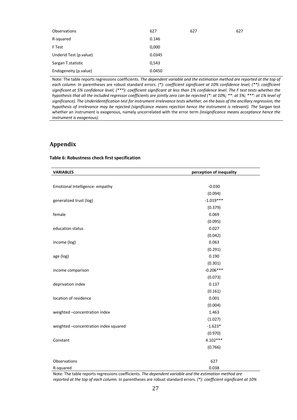| Observations           | 627    | 627 | 627 |
|------------------------|--------|-----|-----|
| R-squared              | 0.146  |     |     |
| F Test                 | 0,000  |     |     |
| Underid Test (p.value) | 0.0345 |     |     |
| Sargan T.statistic     | 0,543  |     |     |
| Endogeneity (p.value)  | 0.0450 |     |     |

Note: The table reports regressions coefficients. *The dependent variable and the estimation method are reported at the top of each column.* In parentheses are robust standard errors. *(\*): coefficient significant at 10% confidence level; (\*\*): coefficient*  significant at 5% confidence level; (\*\*\*): coefficient significant at less than 1% confidence level. The F test tests whether the *hypothesis that all the included regressor coefficients are jointly zero can be rejected (\*: at 10%; \*\*: at 5%; \*\*\*: at 1% level of significance). The Underidentification test for instrument irrelevance tests whether, on the basis of the ancillary regression, the hypothesis of irrelevance may be rejected (significance means rejection hence the instrument is relevant). The Sargan test* whether an instrument is exogenous, namely uncorrelated with the error term *(insignificance means acceptance hence the instrument is exogenous).*

#### **Appendix**

#### **Table 6: Robustness check first specification**

| <b>VARIABLES</b>                      | perception of inequality |  |
|---------------------------------------|--------------------------|--|
|                                       |                          |  |
| Emotional Intelligence-empathy        | $-0.030$                 |  |
|                                       | (0.094)                  |  |
| generalized trust (log)               | $-1.019***$              |  |
|                                       | (0.379)                  |  |
| female                                | 0.069                    |  |
|                                       | (0.095)                  |  |
| education status                      | 0.027                    |  |
|                                       | (0.042)                  |  |
| income (log)                          | 0.063                    |  |
|                                       | (0.291)                  |  |
| age (log)                             | 0.190                    |  |
|                                       | (0.301)                  |  |
| income comparison                     | $-0.206***$              |  |
|                                       | (0.073)                  |  |
| deprivation index                     | 0.137                    |  |
|                                       | (0.161)                  |  |
| location of residence                 | 0.001                    |  |
|                                       | (0.004)                  |  |
| weighted -concentration index         | 1.463                    |  |
|                                       | (1.027)                  |  |
| weighted -concentration index squared | $-1.623*$                |  |
|                                       | (0.970)                  |  |
| Constant                              | 4.102***                 |  |
|                                       | (0.766)                  |  |
| Observations                          | 627                      |  |
| R-squared                             | 0.038                    |  |

Note: The table reports regressions coefficients. *The dependent variable and the estimation method are reported at the top of each column.* In parentheses are robust standard errors. *(\*): coefficient significant at 10%*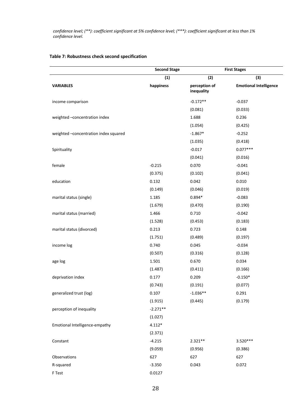*confidence level; (\*\*): coefficient significant at 5% confidence level; (\*\*\*): coefficient significant at less than 1% confidence level.* 

# **Second Stage First Stages (1) (2) (3) VARIABLES happiness perception of inequality Emotional Intelligence** income comparison -0.172\*\* -0.037 (0.081) (0.033) weighted –concentration index 1.688 0.236 (1.054) (0.425) weighted –concentration index squared  $-1.867*$  -1.867\* -0.252 (1.035) (0.418) Spirituality 0.077\*\*\* (0.041) (0.016) female -0.215 0.070 -0.215 0.070 -0.215  $(0.375)$   $(0.102)$   $(0.041)$ education 0.132 0.042 0.010 (0.149) (0.046) (0.019) marital status (single) 1.185 0.894\* -0.083 (1.679) (0.470) (0.190) marital status (married) 1.466 0.710 -0.042 (1.528) (0.453) (0.183) marital status (divorced) 0.213 0.723 0.148

#### **Table 7: Robustness check second specification**

|            |            | (0.183)   |
|------------|------------|-----------|
| 0.213      | 0.723      | 0.148     |
| (1.751)    | (0.489)    | (0.197)   |
| 0.740      | 0.045      | $-0.034$  |
| (0.507)    | (0.316)    | (0.128)   |
| 1.501      | 0.670      | 0.034     |
| (1.487)    | (0.411)    | (0.166)   |
| 0.177      | 0.209      | $-0.150*$ |
| (0.743)    | (0.191)    | (0.077)   |
| 0.107      | $-1.036**$ | 0.291     |
| (1.915)    | (0.445)    | (0.179)   |
| $-2.271**$ |            |           |
| (1.027)    |            |           |
| $4.112*$   |            |           |
| (2.371)    |            |           |
| $-4.215$   | $2.321**$  | 3.520***  |
| (9.059)    | (0.956)    | (0.386)   |
| 627        | 627        | 627       |
| $-3.350$   | 0.043      | 0.072     |
| 0.0127     |            |           |
|            | (1.528)    | (0.453)   |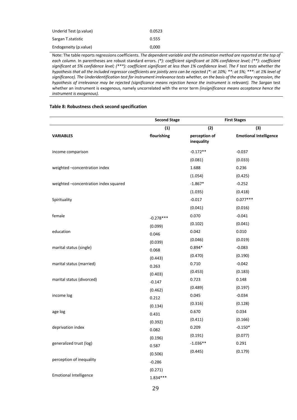| Underid Test (p. value) | 0.0523 |
|-------------------------|--------|
| Sargan T.statistic      | 0.555  |
| Endogeneity (p. value)  | 0.000  |

Note: The table reports regressions coefficients. *The dependent variable and the estimation method are reported at the top of each column.* In parentheses are robust standard errors. *(\*): coefficient significant at 10% confidence level; (\*\*): coefficient significant at 5% confidence level; (\*\*\*): coefficient significant at less than 1% confidence level. The F test tests whether the hypothesis that all the included regressor coefficients are jointly zero can be rejected (\*: at 10%; \*\*: at 5%; \*\*\*: at 1% level of significance). The Underidentification test for instrument irrelevance tests whether, on the basis of the ancillary regression, the hypothesis of irrelevance may be rejected (significance means rejection hence the instrument is relevant). The Sargan test* whether an instrument is exogenous, namely uncorrelated with the error term *(insignificance means acceptance hence the instrument is exogenous).*

#### **Table 8: Robustness check second specification**

|                                       | <b>Second Stage</b> | <b>First Stages</b>         |                               |
|---------------------------------------|---------------------|-----------------------------|-------------------------------|
|                                       | (1)                 | (2)                         | (3)                           |
| <b>VARIABLES</b>                      | flourishing         | perception of<br>inequality | <b>Emotional Intelligence</b> |
| income comparison                     |                     | $-0.172**$                  | $-0.037$                      |
|                                       |                     | (0.081)                     | (0.033)                       |
| weighted -concentration index         |                     | 1.688                       | 0.236                         |
|                                       |                     | (1.054)                     | (0.425)                       |
| weighted -concentration index squared |                     | $-1.867*$                   | $-0.252$                      |
|                                       |                     | (1.035)                     | (0.418)                       |
| Spirituality                          |                     | $-0.017$                    | $0.077***$                    |
|                                       |                     | (0.041)                     | (0.016)                       |
| female                                | $-0.278***$         | 0.070                       | $-0.041$                      |
|                                       | (0.099)             | (0.102)                     | (0.041)                       |
| education                             | 0.046               | 0.042                       | 0.010                         |
|                                       | (0.039)             | (0.046)                     | (0.019)                       |
| marital status (single)               | 0.068               | $0.894*$                    | $-0.083$                      |
|                                       | (0.443)             | (0.470)                     | (0.190)                       |
| marital status (married)              | 0.263               | 0.710                       | $-0.042$                      |
|                                       | (0.403)             | (0.453)                     | (0.183)                       |
| marital status (divorced)             | $-0.147$            | 0.723                       | 0.148                         |
|                                       | (0.462)             | (0.489)                     | (0.197)                       |
| income log                            | 0.212               | 0.045                       | $-0.034$                      |
|                                       | (0.134)             | (0.316)                     | (0.128)                       |
| age log                               | 0.431               | 0.670                       | 0.034                         |
|                                       | (0.392)             | (0.411)                     | (0.166)                       |
| deprivation index                     | 0.082               | 0.209                       | $-0.150*$                     |
|                                       | (0.196)             | (0.191)                     | (0.077)                       |
| generalized trust (log)               | 0.587               | $-1.036**$                  | 0.291                         |
|                                       | (0.506)             | (0.445)                     | (0.179)                       |
| perception of inequality              | $-0.286$            |                             |                               |
|                                       | (0.271)             |                             |                               |
| <b>Emotional Intelligence</b>         | $1.834***$          |                             |                               |